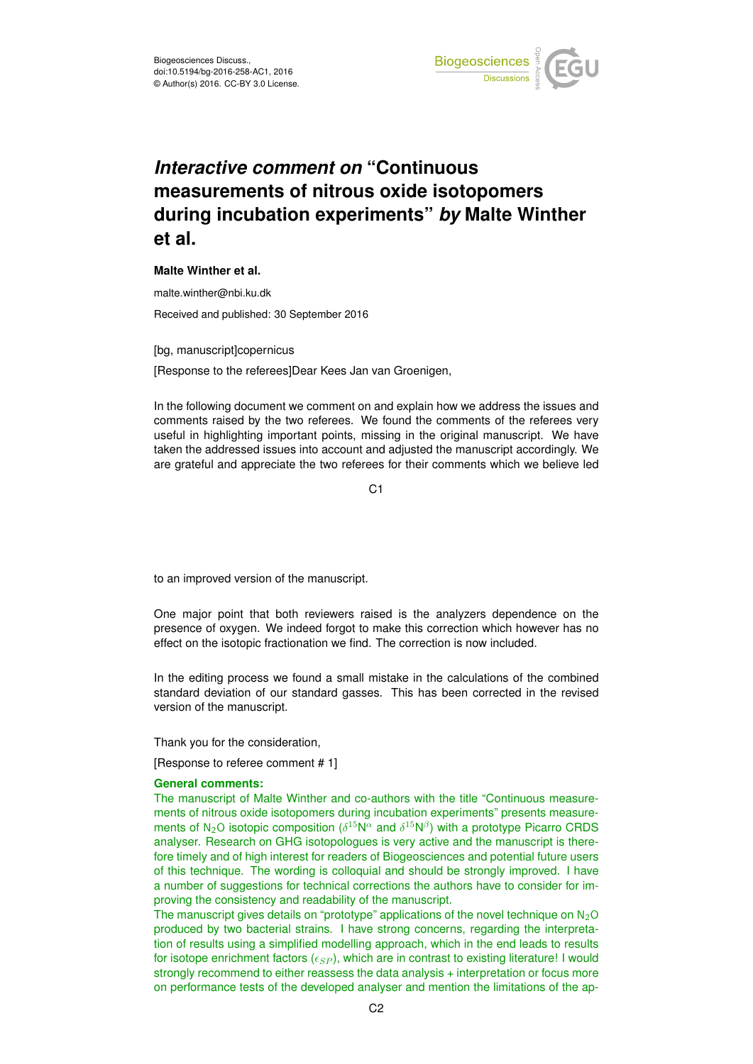

# *Interactive comment on* **"Continuous measurements of nitrous oxide isotopomers during incubation experiments"** *by* **Malte Winther et al.**

# **Malte Winther et al.**

malte.winther@nbi.ku.dk

Received and published: 30 September 2016

[bg, manuscript]copernicus

[Response to the referees]Dear Kees Jan van Groenigen,

In the following document we comment on and explain how we address the issues and comments raised by the two referees. We found the comments of the referees very useful in highlighting important points, missing in the original manuscript. We have taken the addressed issues into account and adjusted the manuscript accordingly. We are grateful and appreciate the two referees for their comments which we believe led

C<sub>1</sub>

to an improved version of the manuscript.

One major point that both reviewers raised is the analyzers dependence on the presence of oxygen. We indeed forgot to make this correction which however has no effect on the isotopic fractionation we find. The correction is now included.

In the editing process we found a small mistake in the calculations of the combined standard deviation of our standard gasses. This has been corrected in the revised version of the manuscript.

Thank you for the consideration,

[Response to referee comment # 1]

# **General comments:**

The manuscript of Malte Winther and co-authors with the title "Continuous measurements of nitrous oxide isotopomers during incubation experiments" presents measurements of N<sub>2</sub>O isotopic composition ( $\delta^{15}N^{\alpha}$  and  $\delta^{15}N^{\beta}$ ) with a prototype Picarro CRDS analyser. Research on GHG isotopologues is very active and the manuscript is therefore timely and of high interest for readers of Biogeosciences and potential future users of this technique. The wording is colloquial and should be strongly improved. I have a number of suggestions for technical corrections the authors have to consider for improving the consistency and readability of the manuscript.

The manuscript gives details on "prototype" applications of the novel technique on  $N_2O$ produced by two bacterial strains. I have strong concerns, regarding the interpretation of results using a simplified modelling approach, which in the end leads to results for isotope enrichment factors  $(\epsilon_{SP})$ , which are in contrast to existing literature! I would strongly recommend to either reassess the data analysis + interpretation or focus more on performance tests of the developed analyser and mention the limitations of the ap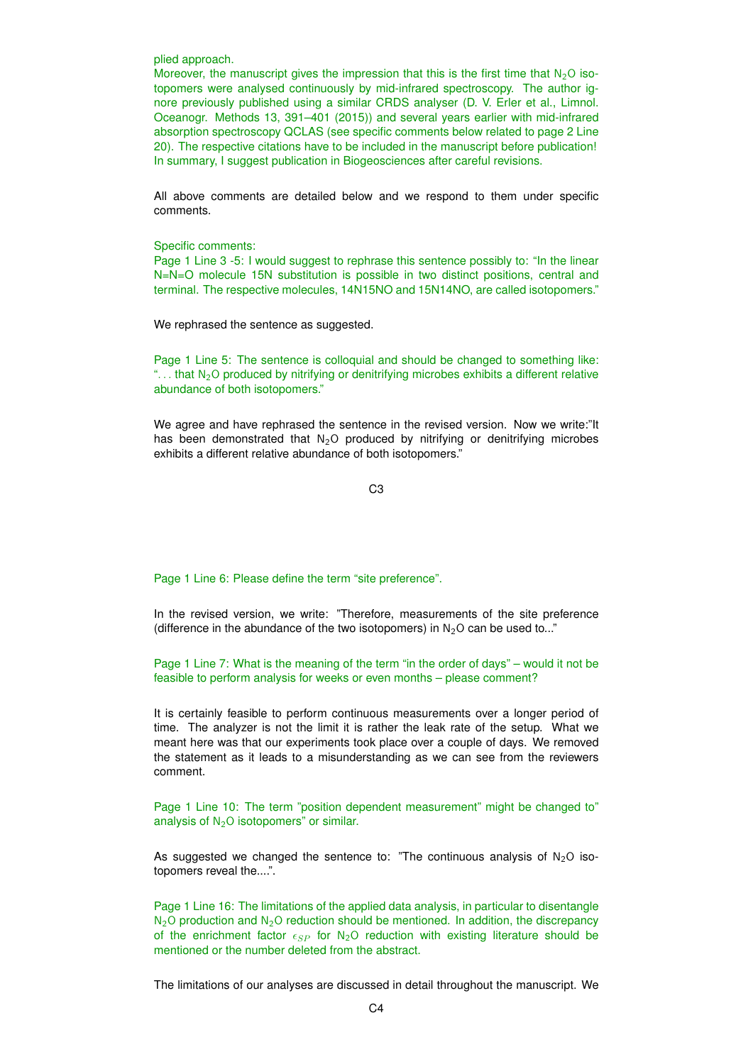plied approach.

Moreover, the manuscript gives the impression that this is the first time that  $N_2O$  isotopomers were analysed continuously by mid-infrared spectroscopy. The author ignore previously published using a similar CRDS analyser (D. V. Erler et al., Limnol. Oceanogr. Methods 13, 391–401 (2015)) and several years earlier with mid-infrared absorption spectroscopy QCLAS (see specific comments below related to page 2 Line 20). The respective citations have to be included in the manuscript before publication! In summary, I suggest publication in Biogeosciences after careful revisions.

All above comments are detailed below and we respond to them under specific comments.

# Specific comments:

Page 1 Line 3 -5: I would suggest to rephrase this sentence possibly to: "In the linear N=N=O molecule 15N substitution is possible in two distinct positions, central and terminal. The respective molecules, 14N15NO and 15N14NO, are called isotopomers."

We rephrased the sentence as suggested.

Page 1 Line 5: The sentence is colloquial and should be changed to something like: "... that  $N_2O$  produced by nitrifying or denitrifying microbes exhibits a different relative abundance of both isotopomers."

We agree and have rephrased the sentence in the revised version. Now we write:"It has been demonstrated that  $N_2O$  produced by nitrifying or denitrifying microbes exhibits a different relative abundance of both isotopomers."

C3

Page 1 Line 6: Please define the term "site preference".

In the revised version, we write: "Therefore, measurements of the site preference (difference in the abundance of the two isotopomers) in  $N_2O$  can be used to..."

Page 1 Line 7: What is the meaning of the term "in the order of days" – would it not be feasible to perform analysis for weeks or even months – please comment?

It is certainly feasible to perform continuous measurements over a longer period of time. The analyzer is not the limit it is rather the leak rate of the setup. What we meant here was that our experiments took place over a couple of days. We removed the statement as it leads to a misunderstanding as we can see from the reviewers comment.

Page 1 Line 10: The term "position dependent measurement" might be changed to" analysis of  $N<sub>2</sub>O$  isotopomers" or similar.

As suggested we changed the sentence to: "The continuous analysis of  $N_2O$  isotopomers reveal the....".

Page 1 Line 16: The limitations of the applied data analysis, in particular to disentangle  $N_2$ O production and  $N_2$ O reduction should be mentioned. In addition, the discrepancy of the enrichment factor  $\epsilon_{SP}$  for N<sub>2</sub>O reduction with existing literature should be mentioned or the number deleted from the abstract.

The limitations of our analyses are discussed in detail throughout the manuscript. We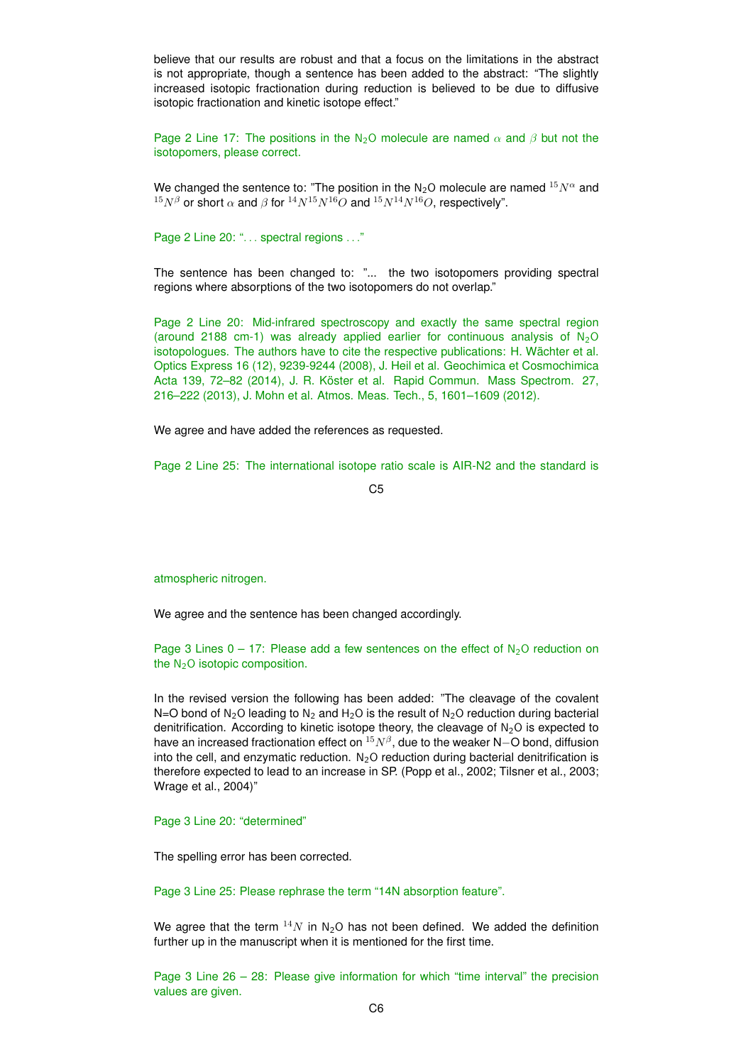believe that our results are robust and that a focus on the limitations in the abstract is not appropriate, though a sentence has been added to the abstract: "The slightly increased isotopic fractionation during reduction is believed to be due to diffusive isotopic fractionation and kinetic isotope effect."

Page 2 Line 17: The positions in the N<sub>2</sub>O molecule are named  $\alpha$  and  $\beta$  but not the isotopomers, please correct.

We changed the sentence to: "The position in the N<sub>2</sub>O molecule are named  $15N^{\alpha}$  and  $15N^{\beta}$  or short  $\alpha$  and  $\beta$  for  $14N^{15}N^{16}O$  and  $15N^{14}N^{16}O$ , respectively".

Page 2 Line 20: "... spectral regions ..."

The sentence has been changed to: "... the two isotopomers providing spectral regions where absorptions of the two isotopomers do not overlap."

Page 2 Line 20: Mid-infrared spectroscopy and exactly the same spectral region (around 2188 cm-1) was already applied earlier for continuous analysis of  $N_2O$ isotopologues. The authors have to cite the respective publications: H. Wächter et al. Optics Express 16 (12), 9239-9244 (2008), J. Heil et al. Geochimica et Cosmochimica Acta 139, 72–82 (2014), J. R. Köster et al. Rapid Commun. Mass Spectrom. 27, 216–222 (2013), J. Mohn et al. Atmos. Meas. Tech., 5, 1601–1609 (2012).

We agree and have added the references as requested.

Page 2 Line 25: The international isotope ratio scale is AIR-N2 and the standard is

 $C<sub>5</sub>$ 

atmospheric nitrogen.

We agree and the sentence has been changed accordingly.

Page 3 Lines  $0 - 17$ : Please add a few sentences on the effect of  $N_2O$  reduction on the  $N<sub>2</sub>O$  isotopic composition.

In the revised version the following has been added: "The cleavage of the covalent N=O bond of N<sub>2</sub>O leading to N<sub>2</sub> and H<sub>2</sub>O is the result of N<sub>2</sub>O reduction during bacterial denitrification. According to kinetic isotope theory, the cleavage of  $N_2O$  is expected to have an increased fractionation effect on  $^{15}N^{\beta}$ , due to the weaker N $-$ O bond, diffusion into the cell, and enzymatic reduction.  $N_2O$  reduction during bacterial denitrification is therefore expected to lead to an increase in SP. (Popp et al., 2002; Tilsner et al., 2003; Wrage et al., 2004)"

# Page 3 Line 20: "determined"

The spelling error has been corrected.

Page 3 Line 25: Please rephrase the term "14N absorption feature".

We agree that the term  $^{14}N$  in N<sub>2</sub>O has not been defined. We added the definition further up in the manuscript when it is mentioned for the first time.

Page 3 Line 26 – 28: Please give information for which "time interval" the precision values are given.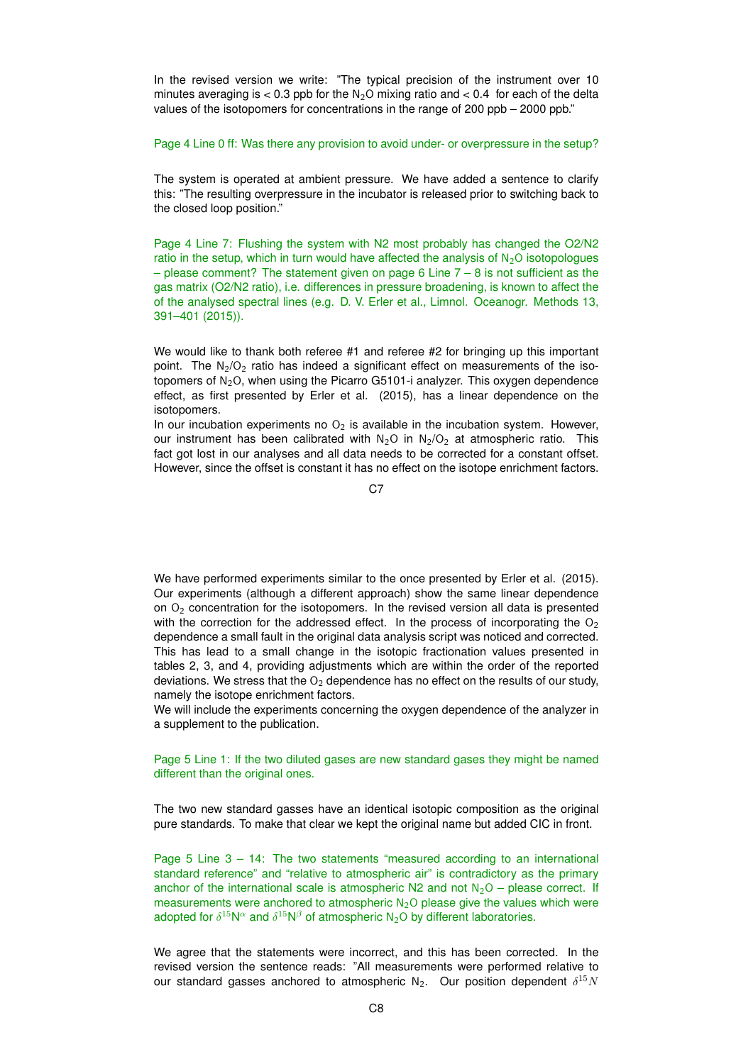In the revised version we write: "The typical precision of the instrument over 10 minutes averaging is  $< 0.3$  ppb for the N<sub>2</sub>O mixing ratio and  $< 0.4$  for each of the delta values of the isotopomers for concentrations in the range of 200 ppb – 2000 ppb."

## Page 4 Line 0 ff: Was there any provision to avoid under- or overpressure in the setup?

The system is operated at ambient pressure. We have added a sentence to clarify this: "The resulting overpressure in the incubator is released prior to switching back to the closed loop position."

Page 4 Line 7: Flushing the system with N2 most probably has changed the O2/N2 ratio in the setup, which in turn would have affected the analysis of  $N<sub>2</sub>O$  isotopologues  $-$  please comment? The statement given on page 6 Line  $7 - 8$  is not sufficient as the gas matrix (O2/N2 ratio), i.e. differences in pressure broadening, is known to affect the of the analysed spectral lines (e.g. D. V. Erler et al., Limnol. Oceanogr. Methods 13, 391–401 (2015)).

We would like to thank both referee #1 and referee #2 for bringing up this important point. The  $N_2/O_2$  ratio has indeed a significant effect on measurements of the isotopomers of  $N_2O$ , when using the Picarro G5101-i analyzer. This oxygen dependence effect, as first presented by Erler et al. (2015), has a linear dependence on the isotopomers.

In our incubation experiments no  $O<sub>2</sub>$  is available in the incubation system. However, our instrument has been calibrated with  $N_2$ O in  $N_2/O_2$  at atmospheric ratio. This fact got lost in our analyses and all data needs to be corrected for a constant offset. However, since the offset is constant it has no effect on the isotope enrichment factors.

C<sub>7</sub>

We have performed experiments similar to the once presented by Erler et al. (2015). Our experiments (although a different approach) show the same linear dependence on  $O<sub>2</sub>$  concentration for the isotopomers. In the revised version all data is presented with the correction for the addressed effect. In the process of incorporating the  $O<sub>2</sub>$ dependence a small fault in the original data analysis script was noticed and corrected. This has lead to a small change in the isotopic fractionation values presented in tables 2, 3, and 4, providing adjustments which are within the order of the reported deviations. We stress that the  $O<sub>2</sub>$  dependence has no effect on the results of our study, namely the isotope enrichment factors.

We will include the experiments concerning the oxygen dependence of the analyzer in a supplement to the publication.

# Page 5 Line 1: If the two diluted gases are new standard gases they might be named different than the original ones.

The two new standard gasses have an identical isotopic composition as the original pure standards. To make that clear we kept the original name but added CIC in front.

Page  $5$  Line  $3 - 14$ : The two statements "measured according to an international standard reference" and "relative to atmospheric air" is contradictory as the primary anchor of the international scale is atmospheric N2 and not  $N_2O$  – please correct. If measurements were anchored to atmospheric  $N<sub>2</sub>O$  please give the values which were adopted for  $\delta^{15}N^{\alpha}$  and  $\delta^{15}N^{\beta}$  of atmospheric N<sub>2</sub>O by different laboratories.

We agree that the statements were incorrect, and this has been corrected. In the revised version the sentence reads: "All measurements were performed relative to our standard gasses anchored to atmospheric N<sub>2</sub>. Our position dependent  $\delta^{15}N$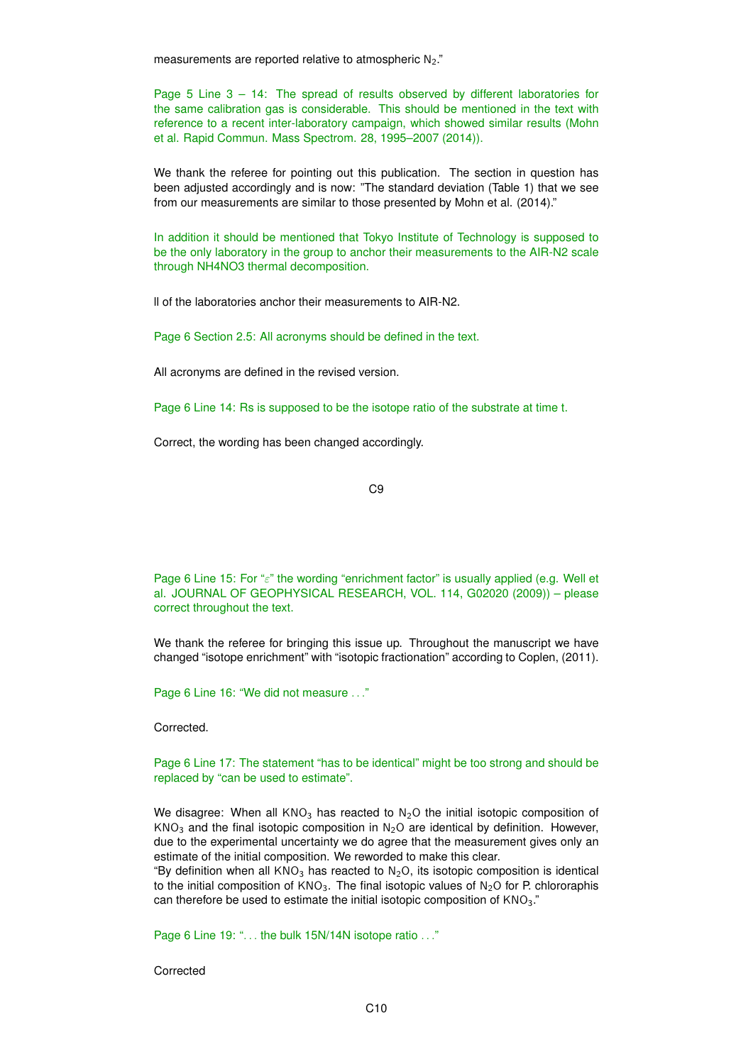measurements are reported relative to atmospheric  $N_2$ ."

Page 5 Line 3 – 14: The spread of results observed by different laboratories for the same calibration gas is considerable. This should be mentioned in the text with reference to a recent inter-laboratory campaign, which showed similar results (Mohn et al. Rapid Commun. Mass Spectrom. 28, 1995–2007 (2014)).

We thank the referee for pointing out this publication. The section in question has been adjusted accordingly and is now: "The standard deviation (Table 1) that we see from our measurements are similar to those presented by Mohn et al. (2014)."

In addition it should be mentioned that Tokyo Institute of Technology is supposed to be the only laboratory in the group to anchor their measurements to the AIR-N2 scale through NH4NO3 thermal decomposition.

ll of the laboratories anchor their measurements to AIR-N2.

Page 6 Section 2.5: All acronyms should be defined in the text.

All acronyms are defined in the revised version.

Page 6 Line 14: Rs is supposed to be the isotope ratio of the substrate at time t.

Correct, the wording has been changed accordingly.

C9

Page 6 Line 15: For "ε" the wording "enrichment factor" is usually applied (e.g. Well et al. JOURNAL OF GEOPHYSICAL RESEARCH, VOL. 114, G02020 (2009)) – please correct throughout the text.

We thank the referee for bringing this issue up. Throughout the manuscript we have changed "isotope enrichment" with "isotopic fractionation" according to Coplen, (2011).

Page 6 Line 16: "We did not measure . . ."

Corrected.

Page 6 Line 17: The statement "has to be identical" might be too strong and should be replaced by "can be used to estimate".

We disagree: When all  $KNO_3$  has reacted to N<sub>2</sub>O the initial isotopic composition of  $KNO<sub>3</sub>$  and the final isotopic composition in N<sub>2</sub>O are identical by definition. However, due to the experimental uncertainty we do agree that the measurement gives only an estimate of the initial composition. We reworded to make this clear.

"By definition when all  $KNO_3$  has reacted to  $N_2O$ , its isotopic composition is identical to the initial composition of  $KNO_3$ . The final isotopic values of  $N_2O$  for P. chlororaphis can therefore be used to estimate the initial isotopic composition of KNO<sub>3</sub>."

Page 6 Line 19: "... the bulk 15N/14N isotope ratio ..."

Corrected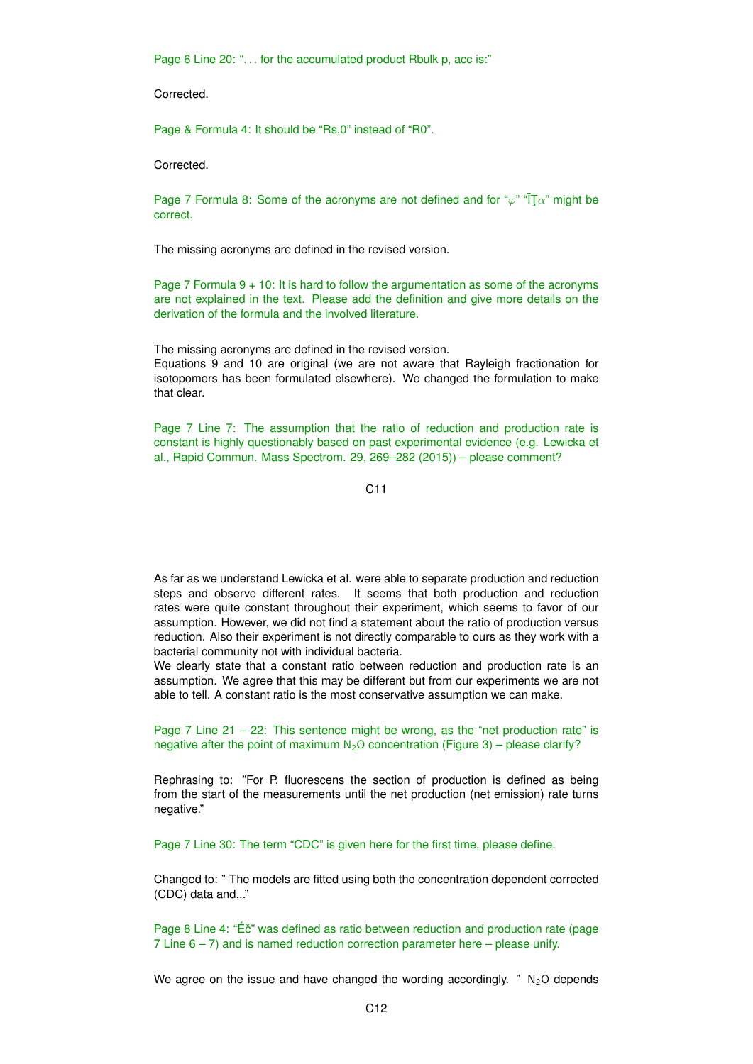Page 6 Line 20: "... for the accumulated product Rbulk p, acc is:"

**Corrected** 

Page & Formula 4: It should be "Rs,0" instead of "R0".

**Corrected** 

Page 7 Formula 8: Some of the acronyms are not defined and for " $\varphi$ " " $\overline{T}\alpha$ " might be correct.

The missing acronyms are defined in the revised version.

Page 7 Formula 9 + 10: It is hard to follow the argumentation as some of the acronyms are not explained in the text. Please add the definition and give more details on the derivation of the formula and the involved literature.

The missing acronyms are defined in the revised version.

Equations 9 and 10 are original (we are not aware that Rayleigh fractionation for isotopomers has been formulated elsewhere). We changed the formulation to make that clear.

Page 7 Line 7: The assumption that the ratio of reduction and production rate is constant is highly questionably based on past experimental evidence (e.g. Lewicka et al., Rapid Commun. Mass Spectrom. 29, 269–282 (2015)) – please comment?

C11

As far as we understand Lewicka et al. were able to separate production and reduction steps and observe different rates. It seems that both production and reduction rates were quite constant throughout their experiment, which seems to favor of our assumption. However, we did not find a statement about the ratio of production versus reduction. Also their experiment is not directly comparable to ours as they work with a bacterial community not with individual bacteria.

We clearly state that a constant ratio between reduction and production rate is an assumption. We agree that this may be different but from our experiments we are not able to tell. A constant ratio is the most conservative assumption we can make.

Page 7 Line  $21 - 22$ : This sentence might be wrong, as the "net production rate" is negative after the point of maximum  $N_2O$  concentration (Figure 3) – please clarify?

Rephrasing to: "For P. fluorescens the section of production is defined as being from the start of the measurements until the net production (net emission) rate turns negative."

Page 7 Line 30: The term "CDC" is given here for the first time, please define.

Changed to: " The models are fitted using both the concentration dependent corrected (CDC) data and..."

Page 8 Line 4: "Ec" was defined as ratio between reduction and production rate (page 7 Line  $6 - 7$ ) and is named reduction correction parameter here – please unify.

We agree on the issue and have changed the wording accordingly. " $N_2O$  depends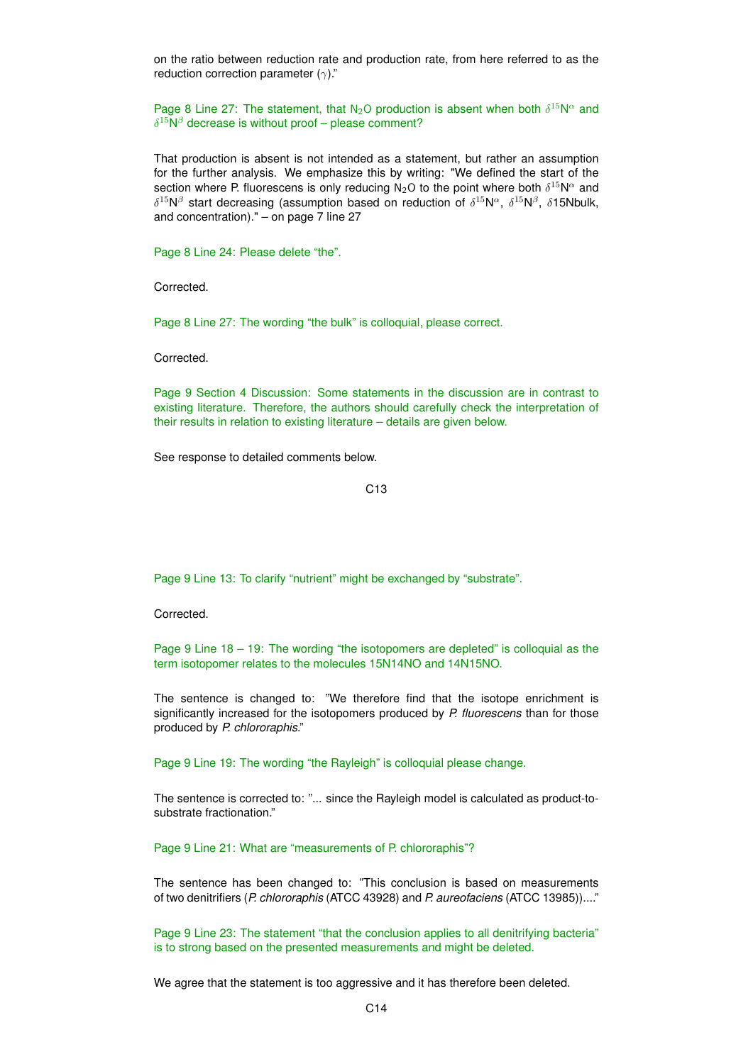on the ratio between reduction rate and production rate, from here referred to as the reduction correction parameter  $(γ)$ ."

Page 8 Line 27: The statement, that N<sub>2</sub>O production is absent when both  $\delta^{15}N^{\alpha}$  and  $\delta^{15}$ N $\beta$  decrease is without proof – please comment?

That production is absent is not intended as a statement, but rather an assumption for the further analysis. We emphasize this by writing: "We defined the start of the section where P. fluorescens is only reducing N<sub>2</sub>O to the point where both  $\delta^{15}$ N<sup> $\alpha$ </sup> and  $\delta^{15}$ N $\beta$  start decreasing (assumption based on reduction of  $\delta^{15}$ N $\alpha$ ,  $\delta^{15}$ N $\beta$ ,  $\delta$ 15Nbulk, and concentration)." – on page 7 line 27

Page 8 Line 24: Please delete "the".

Corrected.

Page 8 Line 27: The wording "the bulk" is colloquial, please correct.

Corrected.

Page 9 Section 4 Discussion: Some statements in the discussion are in contrast to existing literature. Therefore, the authors should carefully check the interpretation of their results in relation to existing literature – details are given below.

See response to detailed comments below.

C13

Page 9 Line 13: To clarify "nutrient" might be exchanged by "substrate".

Corrected.

Page 9 Line  $18 - 19$ : The wording "the isotopomers are depleted" is colloquial as the term isotopomer relates to the molecules 15N14NO and 14N15NO.

The sentence is changed to: "We therefore find that the isotope enrichment is significantly increased for the isotopomers produced by *P. fluorescens* than for those produced by *P. chlororaphis*."

Page 9 Line 19: The wording "the Rayleigh" is colloquial please change.

The sentence is corrected to: "... since the Rayleigh model is calculated as product-tosubstrate fractionation."

Page 9 Line 21: What are "measurements of P. chlororaphis"?

The sentence has been changed to: "This conclusion is based on measurements of two denitrifiers (*P. chlororaphis* (ATCC 43928) and *P. aureofaciens* (ATCC 13985))...."

Page 9 Line 23: The statement "that the conclusion applies to all denitrifying bacteria" is to strong based on the presented measurements and might be deleted.

We agree that the statement is too aggressive and it has therefore been deleted.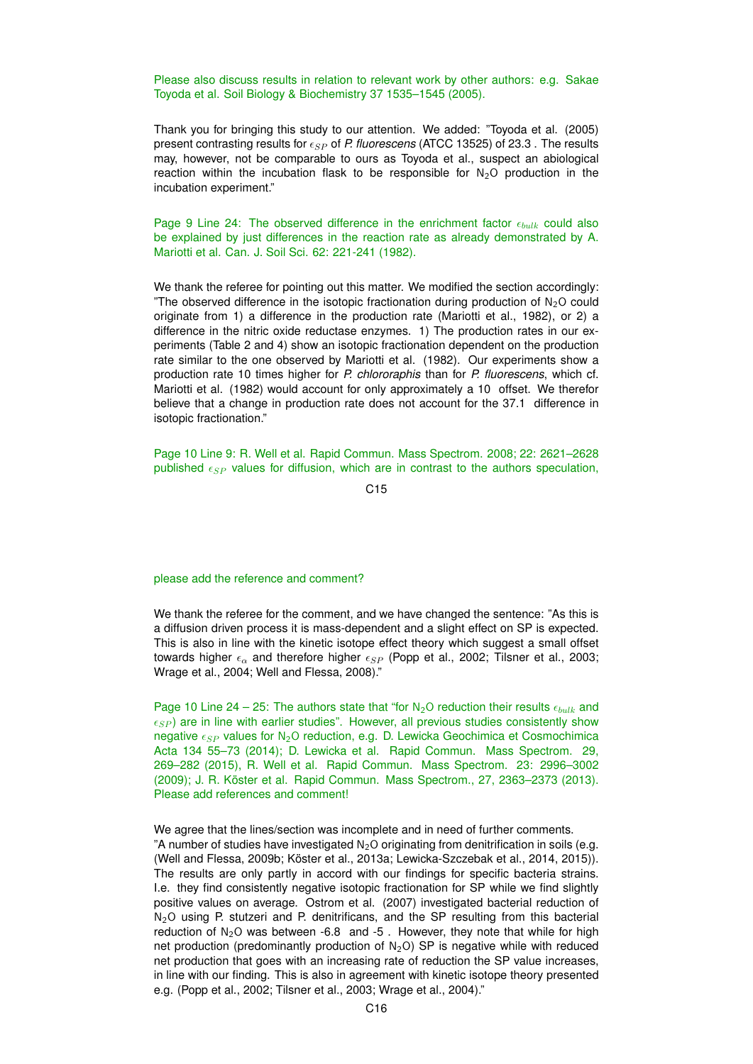Please also discuss results in relation to relevant work by other authors: e.g. Sakae Toyoda et al. Soil Biology & Biochemistry 37 1535–1545 (2005).

Thank you for bringing this study to our attention. We added: "Toyoda et al. (2005) present contrasting results for  $\epsilon_{SP}$  of *P. fluorescens* (ATCC 13525) of 23.3. The results may, however, not be comparable to ours as Toyoda et al., suspect an abiological reaction within the incubation flask to be responsible for  $N_2O$  production in the incubation experiment."

Page 9 Line 24: The observed difference in the enrichment factor  $\epsilon_{bulk}$  could also be explained by just differences in the reaction rate as already demonstrated by A. Mariotti et al. Can. J. Soil Sci. 62: 221-241 (1982).

We thank the referee for pointing out this matter. We modified the section accordingly: "The observed difference in the isotopic fractionation during production of  $N_2O$  could originate from 1) a difference in the production rate (Mariotti et al., 1982), or 2) a difference in the nitric oxide reductase enzymes. 1) The production rates in our experiments (Table 2 and 4) show an isotopic fractionation dependent on the production rate similar to the one observed by Mariotti et al. (1982). Our experiments show a production rate 10 times higher for *P. chlororaphis* than for *P. fluorescens*, which cf. Mariotti et al. (1982) would account for only approximately a 10 offset. We therefor believe that a change in production rate does not account for the 37.1 difference in isotopic fractionation."

Page 10 Line 9: R. Well et al. Rapid Commun. Mass Spectrom. 2008; 22: 2621–2628 published  $\epsilon_{SP}$  values for diffusion, which are in contrast to the authors speculation,

C<sub>15</sub>

#### please add the reference and comment?

We thank the referee for the comment, and we have changed the sentence: "As this is a diffusion driven process it is mass-dependent and a slight effect on SP is expected. This is also in line with the kinetic isotope effect theory which suggest a small offset towards higher  $\epsilon_{\alpha}$  and therefore higher  $\epsilon_{SP}$  (Popp et al., 2002; Tilsner et al., 2003; Wrage et al., 2004; Well and Flessa, 2008)."

Page 10 Line 24 – 25: The authors state that "for N<sub>2</sub>O reduction their results  $\epsilon_{bulk}$  and  $\epsilon_{SP}$ ) are in line with earlier studies". However, all previous studies consistently show negative  $\epsilon_{SP}$  values for N<sub>2</sub>O reduction, e.g. D. Lewicka Geochimica et Cosmochimica Acta 134 55–73 (2014); D. Lewicka et al. Rapid Commun. Mass Spectrom. 29, 269–282 (2015), R. Well et al. Rapid Commun. Mass Spectrom. 23: 2996–3002 (2009); J. R. Köster et al. Rapid Commun. Mass Spectrom., 27, 2363–2373 (2013). Please add references and comment!

We agree that the lines/section was incomplete and in need of further comments. "A number of studies have investigated  $N_2O$  originating from denitrification in soils (e.g. (Well and Flessa, 2009b; Köster et al., 2013a; Lewicka-Szczebak et al., 2014, 2015)). The results are only partly in accord with our findings for specific bacteria strains. I.e. they find consistently negative isotopic fractionation for SP while we find slightly positive values on average. Ostrom et al. (2007) investigated bacterial reduction of N<sub>2</sub>O using P. stutzeri and P. denitrificans, and the SP resulting from this bacterial reduction of  $N_2O$  was between -6.8 and -5. However, they note that while for high net production (predominantly production of  $N_2O$ ) SP is negative while with reduced net production that goes with an increasing rate of reduction the SP value increases, in line with our finding. This is also in agreement with kinetic isotope theory presented e.g. (Popp et al., 2002; Tilsner et al., 2003; Wrage et al., 2004)."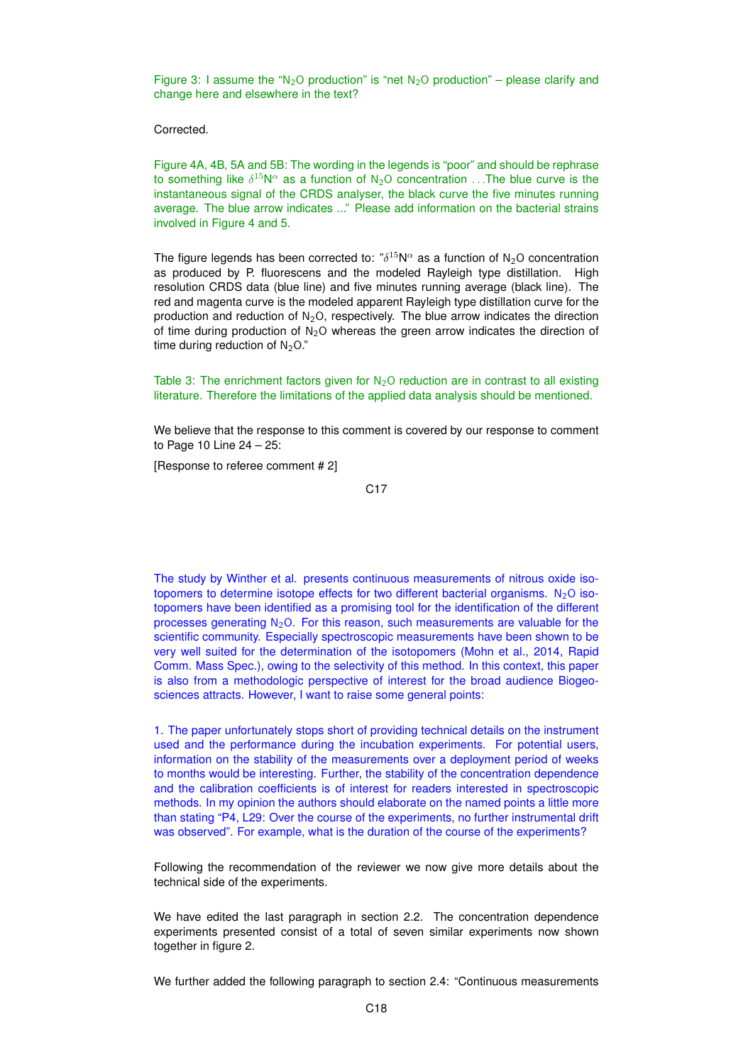Figure 3: I assume the "N<sub>2</sub>O production" is "net N<sub>2</sub>O production" – please clarify and change here and elsewhere in the text?

Corrected.

Figure 4A, 4B, 5A and 5B: The wording in the legends is "poor" and should be rephrase to something like  $\delta^{15}N^\alpha$  as a function of N<sub>2</sub>O concentration ...The blue curve is the instantaneous signal of the CRDS analyser, the black curve the five minutes running average. The blue arrow indicates ..." Please add information on the bacterial strains involved in Figure 4 and 5.

The figure legends has been corrected to:  $\sqrt[3]{5}N^{\alpha}$  as a function of N<sub>2</sub>O concentration as produced by P. fluorescens and the modeled Rayleigh type distillation. High resolution CRDS data (blue line) and five minutes running average (black line). The red and magenta curve is the modeled apparent Rayleigh type distillation curve for the production and reduction of  $N_2O$ , respectively. The blue arrow indicates the direction of time during production of  $N<sub>2</sub>O$  whereas the green arrow indicates the direction of time during reduction of  $N_2O$ ."

Table 3: The enrichment factors given for  $N<sub>2</sub>O$  reduction are in contrast to all existing literature. Therefore the limitations of the applied data analysis should be mentioned.

We believe that the response to this comment is covered by our response to comment to Page 10 Line 24 – 25:

[Response to referee comment # 2]

The study by Winther et al. presents continuous measurements of nitrous oxide isotopomers to determine isotope effects for two different bacterial organisms.  $N_2$ O isotopomers have been identified as a promising tool for the identification of the different processes generating  $N_2O$ . For this reason, such measurements are valuable for the scientific community. Especially spectroscopic measurements have been shown to be very well suited for the determination of the isotopomers (Mohn et al., 2014, Rapid Comm. Mass Spec.), owing to the selectivity of this method. In this context, this paper is also from a methodologic perspective of interest for the broad audience Biogeosciences attracts. However, I want to raise some general points:

1. The paper unfortunately stops short of providing technical details on the instrument used and the performance during the incubation experiments. For potential users, information on the stability of the measurements over a deployment period of weeks to months would be interesting. Further, the stability of the concentration dependence and the calibration coefficients is of interest for readers interested in spectroscopic methods. In my opinion the authors should elaborate on the named points a little more than stating "P4, L29: Over the course of the experiments, no further instrumental drift was observed". For example, what is the duration of the course of the experiments?

Following the recommendation of the reviewer we now give more details about the technical side of the experiments.

We have edited the last paragraph in section 2.2. The concentration dependence experiments presented consist of a total of seven similar experiments now shown together in figure 2.

We further added the following paragraph to section 2.4: "Continuous measurements

C17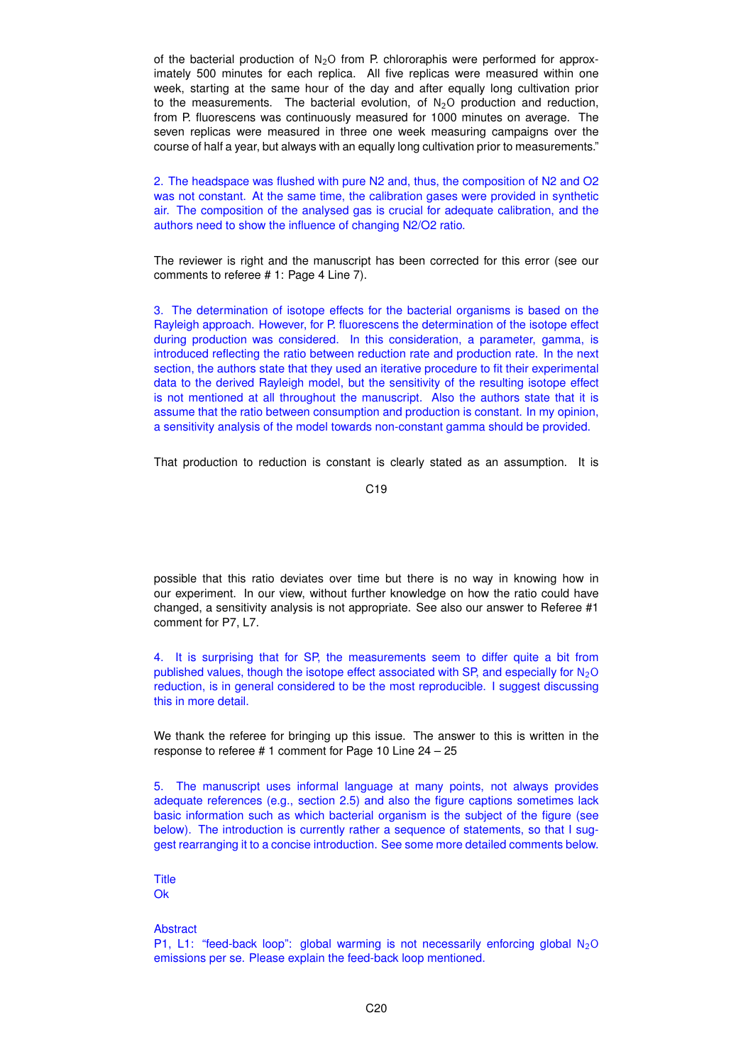of the bacterial production of  $N_2O$  from P. chlororaphis were performed for approximately 500 minutes for each replica. All five replicas were measured within one week, starting at the same hour of the day and after equally long cultivation prior to the measurements. The bacterial evolution, of  $N<sub>2</sub>O$  production and reduction, from P. fluorescens was continuously measured for 1000 minutes on average. The seven replicas were measured in three one week measuring campaigns over the course of half a year, but always with an equally long cultivation prior to measurements."

2. The headspace was flushed with pure N2 and, thus, the composition of N2 and O2 was not constant. At the same time, the calibration gases were provided in synthetic air. The composition of the analysed gas is crucial for adequate calibration, and the authors need to show the influence of changing N2/O2 ratio.

The reviewer is right and the manuscript has been corrected for this error (see our comments to referee # 1: Page 4 Line 7).

3. The determination of isotope effects for the bacterial organisms is based on the Rayleigh approach. However, for P. fluorescens the determination of the isotope effect during production was considered. In this consideration, a parameter, gamma, is introduced reflecting the ratio between reduction rate and production rate. In the next section, the authors state that they used an iterative procedure to fit their experimental data to the derived Rayleigh model, but the sensitivity of the resulting isotope effect is not mentioned at all throughout the manuscript. Also the authors state that it is assume that the ratio between consumption and production is constant. In my opinion, a sensitivity analysis of the model towards non-constant gamma should be provided.

That production to reduction is constant is clearly stated as an assumption. It is

possible that this ratio deviates over time but there is no way in knowing how in our experiment. In our view, without further knowledge on how the ratio could have changed, a sensitivity analysis is not appropriate. See also our answer to Referee #1 comment for P7, L7.

4. It is surprising that for SP, the measurements seem to differ quite a bit from published values, though the isotope effect associated with SP, and especially for  $N_2O$ reduction, is in general considered to be the most reproducible. I suggest discussing this in more detail.

We thank the referee for bringing up this issue. The answer to this is written in the response to referee # 1 comment for Page 10 Line 24 – 25

5. The manuscript uses informal language at many points, not always provides adequate references (e.g., section 2.5) and also the figure captions sometimes lack basic information such as which bacterial organism is the subject of the figure (see below). The introduction is currently rather a sequence of statements, so that I suggest rearranging it to a concise introduction. See some more detailed comments below.

Title Ok

# **Abstract**

P1, L1: "feed-back loop": global warming is not necessarily enforcing global  $N_2O$ emissions per se. Please explain the feed-back loop mentioned.

C19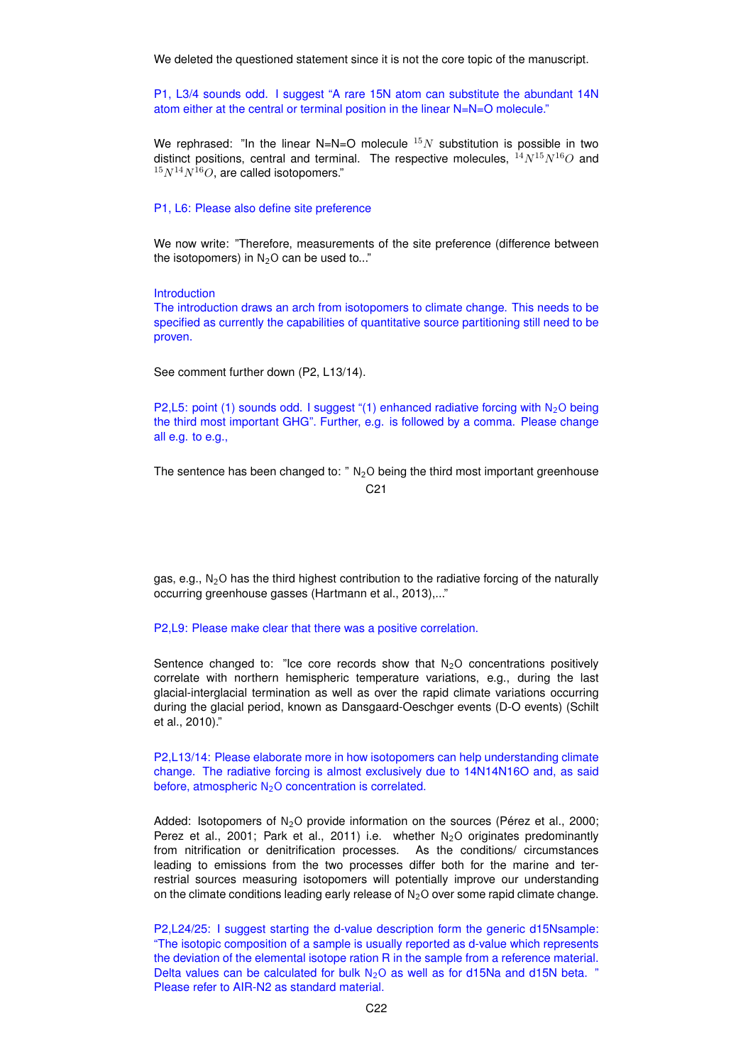We deleted the questioned statement since it is not the core topic of the manuscript.

P1, L3/4 sounds odd. I suggest "A rare 15N atom can substitute the abundant 14N atom either at the central or terminal position in the linear N=N=O molecule."

We rephrased: "In the linear N=N=O molecule  $^{15}N$  substitution is possible in two distinct positions, central and terminal. The respective molecules,  ${}^{14}N^{15}N^{16}O$  and  $15N^{14}N^{16}O$ , are called isotopomers."

#### P1, L6: Please also define site preference

We now write: "Therefore, measurements of the site preference (difference between the isotopomers) in  $N<sub>2</sub>O$  can be used to..."

Introduction

The introduction draws an arch from isotopomers to climate change. This needs to be specified as currently the capabilities of quantitative source partitioning still need to be proven.

See comment further down (P2, L13/14).

P2,L5: point (1) sounds odd. I suggest "(1) enhanced radiative forcing with  $N_2O$  being the third most important GHG". Further, e.g. is followed by a comma. Please change all e.g. to e.g.,

The sentence has been changed to:  $\sqrt{N_2}$  being the third most important greenhouse C21

gas, e.g.,  $N<sub>2</sub>O$  has the third highest contribution to the radiative forcing of the naturally occurring greenhouse gasses (Hartmann et al., 2013),..."

P2,L9: Please make clear that there was a positive correlation.

Sentence changed to: "Ice core records show that  $N<sub>2</sub>O$  concentrations positively correlate with northern hemispheric temperature variations, e.g., during the last glacial-interglacial termination as well as over the rapid climate variations occurring during the glacial period, known as Dansgaard-Oeschger events (D-O events) (Schilt et al., 2010)."

P2,L13/14: Please elaborate more in how isotopomers can help understanding climate change. The radiative forcing is almost exclusively due to 14N14N16O and, as said before, atmospheric  $N_2O$  concentration is correlated.

Added: Isotopomers of  $N_2O$  provide information on the sources (Pérez et al., 2000; Perez et al., 2001; Park et al., 2011) i.e. whether  $N_2O$  originates predominantly from nitrification or denitrification processes. As the conditions/ circumstances leading to emissions from the two processes differ both for the marine and terrestrial sources measuring isotopomers will potentially improve our understanding on the climate conditions leading early release of  $N_2O$  over some rapid climate change.

P2,L24/25: I suggest starting the d-value description form the generic d15Nsample: "The isotopic composition of a sample is usually reported as d-value which represents the deviation of the elemental isotope ration R in the sample from a reference material. Delta values can be calculated for bulk  $N_2O$  as well as for d15Na and d15N beta. " Please refer to AIR-N2 as standard material.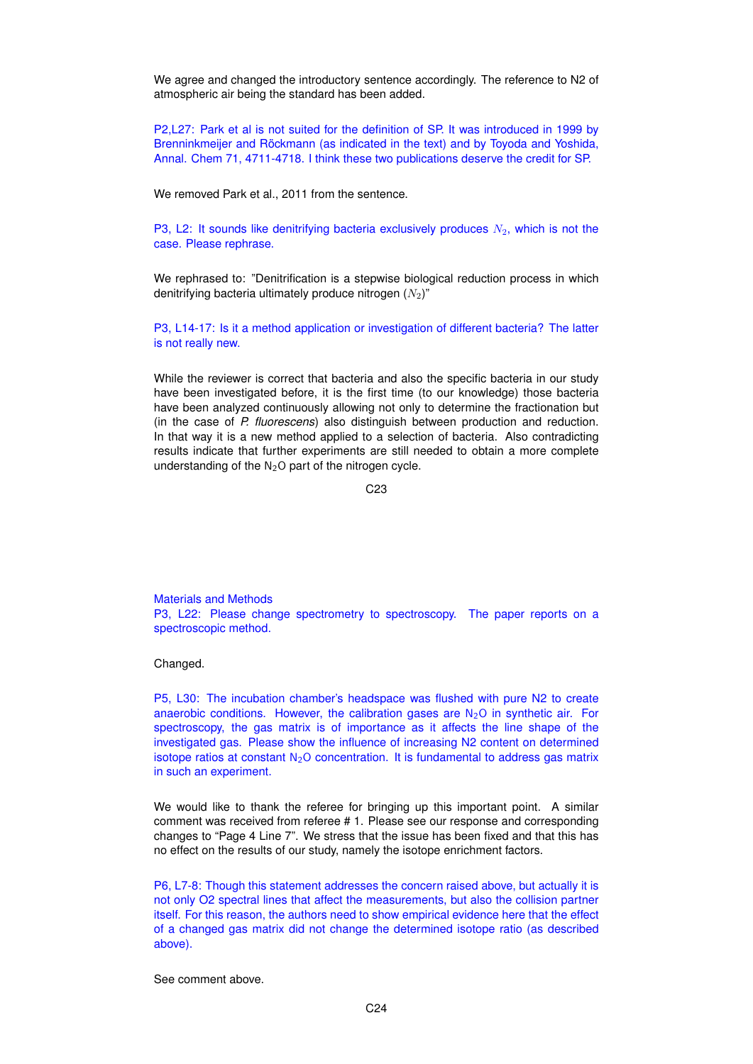We agree and changed the introductory sentence accordingly. The reference to N2 of atmospheric air being the standard has been added.

P2,L27: Park et al is not suited for the definition of SP. It was introduced in 1999 by Brenninkmeijer and Röckmann (as indicated in the text) and by Toyoda and Yoshida, Annal. Chem 71, 4711-4718. I think these two publications deserve the credit for SP.

We removed Park et al., 2011 from the sentence.

P3, L2: It sounds like denitrifying bacteria exclusively produces  $N_2$ , which is not the case. Please rephrase.

We rephrased to: "Denitrification is a stepwise biological reduction process in which denitrifying bacteria ultimately produce nitrogen  $(N_2)$ "

P3, L14-17: Is it a method application or investigation of different bacteria? The latter is not really new.

While the reviewer is correct that bacteria and also the specific bacteria in our study have been investigated before, it is the first time (to our knowledge) those bacteria have been analyzed continuously allowing not only to determine the fractionation but (in the case of *P. fluorescens*) also distinguish between production and reduction. In that way it is a new method applied to a selection of bacteria. Also contradicting results indicate that further experiments are still needed to obtain a more complete understanding of the  $N<sub>2</sub>O$  part of the nitrogen cycle.

C23

Materials and Methods P3, L22: Please change spectrometry to spectroscopy. The paper reports on a spectroscopic method.

## Changed.

P5, L30: The incubation chamber's headspace was flushed with pure N2 to create anaerobic conditions. However, the calibration gases are  $N_2O$  in synthetic air. For spectroscopy, the gas matrix is of importance as it affects the line shape of the investigated gas. Please show the influence of increasing N2 content on determined isotope ratios at constant  $N_2O$  concentration. It is fundamental to address gas matrix in such an experiment.

We would like to thank the referee for bringing up this important point. A similar comment was received from referee # 1. Please see our response and corresponding changes to "Page 4 Line 7". We stress that the issue has been fixed and that this has no effect on the results of our study, namely the isotope enrichment factors.

P6, L7-8: Though this statement addresses the concern raised above, but actually it is not only O2 spectral lines that affect the measurements, but also the collision partner itself. For this reason, the authors need to show empirical evidence here that the effect of a changed gas matrix did not change the determined isotope ratio (as described above).

See comment above.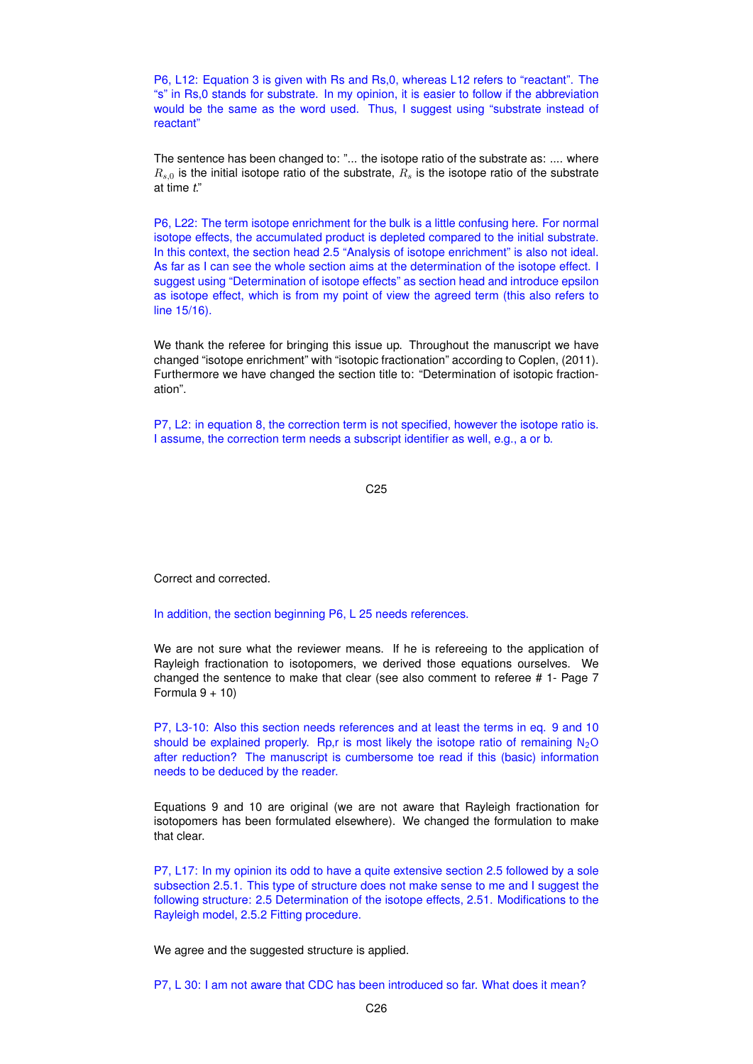P6, L12: Equation 3 is given with Rs and Rs,0, whereas L12 refers to "reactant". The "s" in Rs,0 stands for substrate. In my opinion, it is easier to follow if the abbreviation would be the same as the word used. Thus, I suggest using "substrate instead of reactant"

The sentence has been changed to: "... the isotope ratio of the substrate as: .... where  $R_{s,0}$  is the initial isotope ratio of the substrate,  $R_s$  is the isotope ratio of the substrate at time *t*."

P6, L22: The term isotope enrichment for the bulk is a little confusing here. For normal isotope effects, the accumulated product is depleted compared to the initial substrate. In this context, the section head 2.5 "Analysis of isotope enrichment" is also not ideal. As far as I can see the whole section aims at the determination of the isotope effect. I suggest using "Determination of isotope effects" as section head and introduce epsilon as isotope effect, which is from my point of view the agreed term (this also refers to line 15/16).

We thank the referee for bringing this issue up. Throughout the manuscript we have changed "isotope enrichment" with "isotopic fractionation" according to Coplen, (2011). Furthermore we have changed the section title to: "Determination of isotopic fractionation".

P7, L2: in equation 8, the correction term is not specified, however the isotope ratio is. I assume, the correction term needs a subscript identifier as well, e.g., a or b.

C25

Correct and corrected.

In addition, the section beginning P6, L 25 needs references.

We are not sure what the reviewer means. If he is refereeing to the application of Rayleigh fractionation to isotopomers, we derived those equations ourselves. We changed the sentence to make that clear (see also comment to referee # 1- Page 7 Formula  $9 + 10$ 

P7, L3-10: Also this section needs references and at least the terms in eq. 9 and 10 should be explained properly. Rp, r is most likely the isotope ratio of remaining  $N_2O$ after reduction? The manuscript is cumbersome toe read if this (basic) information needs to be deduced by the reader.

Equations 9 and 10 are original (we are not aware that Rayleigh fractionation for isotopomers has been formulated elsewhere). We changed the formulation to make that clear.

P7, L17: In my opinion its odd to have a quite extensive section 2.5 followed by a sole subsection 2.5.1. This type of structure does not make sense to me and I suggest the following structure: 2.5 Determination of the isotope effects, 2.51. Modifications to the Rayleigh model, 2.5.2 Fitting procedure.

We agree and the suggested structure is applied.

P7, L 30: I am not aware that CDC has been introduced so far. What does it mean?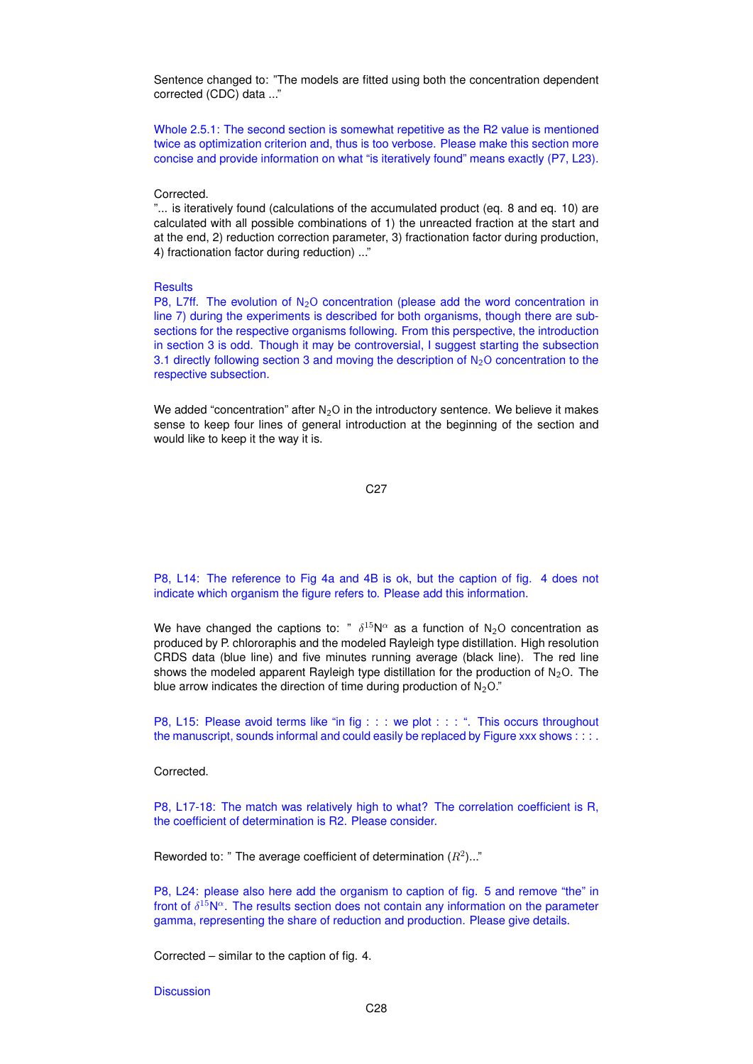Sentence changed to: "The models are fitted using both the concentration dependent corrected (CDC) data ..."

Whole 2.5.1: The second section is somewhat repetitive as the R2 value is mentioned twice as optimization criterion and, thus is too verbose. Please make this section more concise and provide information on what "is iteratively found" means exactly (P7, L23).

## Corrected.

"... is iteratively found (calculations of the accumulated product (eq. 8 and eq. 10) are calculated with all possible combinations of 1) the unreacted fraction at the start and at the end, 2) reduction correction parameter, 3) fractionation factor during production, 4) fractionation factor during reduction) ..."

## **Results**

P8, L7ff. The evolution of  $N_2O$  concentration (please add the word concentration in line 7) during the experiments is described for both organisms, though there are subsections for the respective organisms following. From this perspective, the introduction in section 3 is odd. Though it may be controversial, I suggest starting the subsection 3.1 directly following section 3 and moving the description of  $N_2O$  concentration to the respective subsection.

We added "concentration" after  $N_2O$  in the introductory sentence. We believe it makes sense to keep four lines of general introduction at the beginning of the section and would like to keep it the way it is.

C27

P8, L14: The reference to Fig 4a and 4B is ok, but the caption of fig. 4 does not indicate which organism the figure refers to. Please add this information.

We have changed the captions to: "  $\delta^{15}N^{\alpha}$  as a function of N<sub>2</sub>O concentration as produced by P. chlororaphis and the modeled Rayleigh type distillation. High resolution CRDS data (blue line) and five minutes running average (black line). The red line shows the modeled apparent Rayleigh type distillation for the production of  $N<sub>2</sub>O$ . The blue arrow indicates the direction of time during production of  $N<sub>2</sub>O$ ."

P8, L15: Please avoid terms like "in fig : : : we plot : : : ". This occurs throughout the manuscript, sounds informal and could easily be replaced by Figure xxx shows : : : .

Corrected.

P8, L17-18: The match was relatively high to what? The correlation coefficient is R, the coefficient of determination is R2. Please consider.

Reworded to: " The average coefficient of determination  $(R^2)$ ..."

P8, L24: please also here add the organism to caption of fig. 5 and remove "the" in front of  $\delta^{15}N^{\alpha}$ . The results section does not contain any information on the parameter gamma, representing the share of reduction and production. Please give details.

Corrected – similar to the caption of fig. 4.

**Discussion**